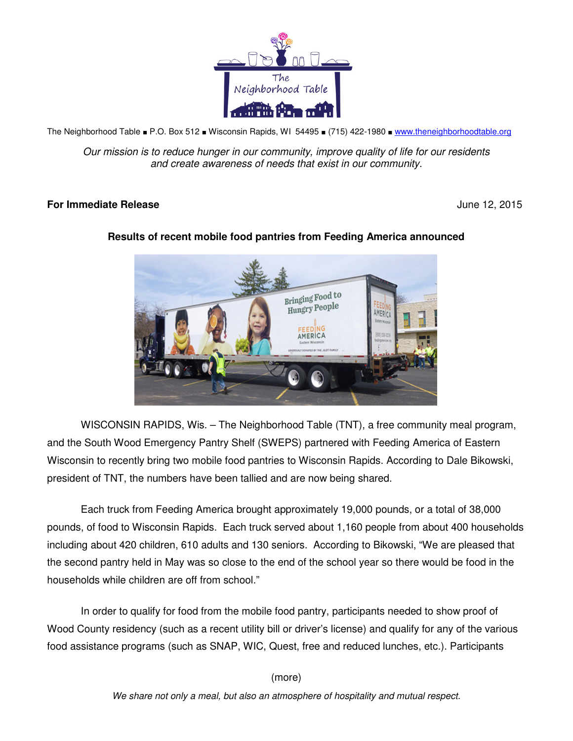

The Neighborhood Table ■ P.O. Box 512 ■ Wisconsin Rapids, WI 54495 ■ (715) 422-1980 ■ www.theneighborhoodtable.org

Our mission is to reduce hunger in our community, improve quality of life for our residents and create awareness of needs that exist in our community.

## **For Immediate Release** June 12, 2015



## **Results of recent mobile food pantries from Feeding America announced**

WISCONSIN RAPIDS, Wis. – The Neighborhood Table (TNT), a free community meal program, and the South Wood Emergency Pantry Shelf (SWEPS) partnered with Feeding America of Eastern Wisconsin to recently bring two mobile food pantries to Wisconsin Rapids. According to Dale Bikowski, president of TNT, the numbers have been tallied and are now being shared.

Each truck from Feeding America brought approximately 19,000 pounds, or a total of 38,000 pounds, of food to Wisconsin Rapids. Each truck served about 1,160 people from about 400 households including about 420 children, 610 adults and 130 seniors. According to Bikowski, "We are pleased that the second pantry held in May was so close to the end of the school year so there would be food in the households while children are off from school."

In order to qualify for food from the mobile food pantry, participants needed to show proof of Wood County residency (such as a recent utility bill or driver's license) and qualify for any of the various food assistance programs (such as SNAP, WIC, Quest, free and reduced lunches, etc.). Participants

(more)

We share not only a meal, but also an atmosphere of hospitality and mutual respect.